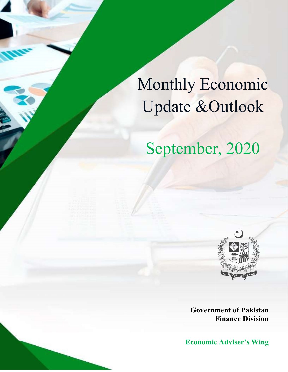# Monthly Economic Update &Outlook Update September, 2020

# September, 2020



Government of Pakistan Finance Division

**Economic Adviser's Wing**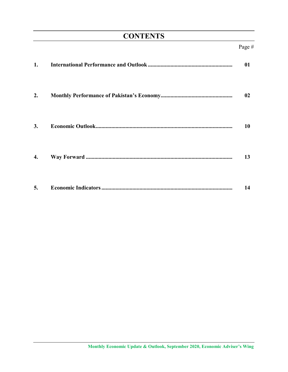## **CONTENTS**

| 1. | 01 |
|----|----|
| 2. | 02 |
| 3. | 10 |
| 4. | 13 |
| 5. | 14 |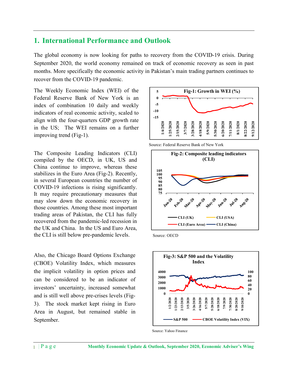#### 1. International Performance and Outlook

The global economy is now looking for paths to recovery from the COVID-19 crisis. During September 2020, the world economy remained on track of economic recovery as seen in past months. More specifically the economic activity in Pakistan's main trading partners continues to recover from the COVID-19 pandemic.

The Weekly Economic Index (WEI) of the Federal Reserve Bank of New York is an index of combination 10 daily and weekly indicators of real economic activity, scaled to align with the four-quarters GDP growth rate in the US; The WEI remains on a further improving trend (Fig-1).

The Composite Leading Indicators (CLI) compiled by the OECD, in UK, US and China continue to improve, whereas these stabilizes in the Euro Area (Fig-2). Recently, in several European countries the number of COVID-19 infections is rising significantly. It may require precautionary measures that may slow down the economic recovery in those countries. Among these most important trading areas of Pakistan, the CLI has fully recovered from the pandemic-led recession in the UK and China. In the US and Euro Area, the CLI is still below pre-pandemic levels. Source: OECD

Also, the Chicago Board Options Exchange (CBOE) Volatility Index, which measures the implicit volatility in option prices and can be considered to be an indicator of investors' uncertainty, increased somewhat and is still well above pre-crises levels (Fig-3). The stock market kept rising in Euro Area in August, but remained stable in September.



Source: Federal Reserve Bank of New York





Source: Yahoo Finance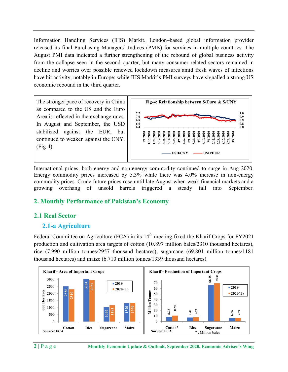Information Handling Services (IHS) Markit, London–based global information provider released its final Purchasing Managers' Indices (PMIs) for services in multiple countries. The August PMI data indicated a further strengthening of the rebound of global business activity from the collapse seen in the second quarter, but many consumer related sectors remained in decline and worries over possible renewed lockdown measures amid fresh waves of infections have hit activity, notably in Europe; while IHS Markit's PMI surveys have signalled a strong US economic rebound in the third quarter.



International prices, both energy and non-energy commodity continued to surge in Aug 2020. Energy commodity prices increased by 5.3% while there was 4.0% increase in non-energy commodity prices. Crude future prices rose until late August when weak financial markets and a growing overhang of unsold barrels triggered a steady fall into September.

#### 2. Monthly Performance of Pakistan's Economy

#### 2.1 Real Sector

#### 2.1-a Agriculture

Federal Committee on Agriculture (FCA) in its  $14<sup>th</sup>$  meeting fixed the Kharif Crops for FY2021 production and cultivation area targets of cotton (10.897 million bales/2310 thousand hectares), rice (7.990 million tonnes/2957 thousand hectares), sugarcane (69.801 million tonnes/1181 thousand hectares) and maize (6.710 million tonnes/1339 thousand hectares).

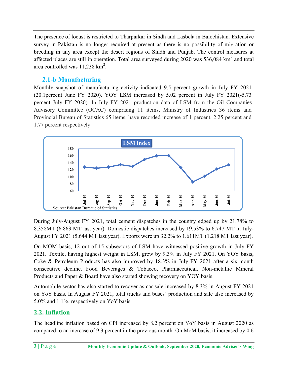The presence of locust is restricted to Tharparkar in Sindh and Lasbela in Balochistan. Extensive survey in Pakistan is no longer required at present as there is no possibility of migration or breeding in any area except the desert regions of Sindh and Punjab. The control measures at affected places are still in operation. Total area surveyed during 2020 was 536,084  $km^2$  and total area controlled was  $11,238$  km<sup>2</sup>.

#### 2.1-b Manufacturing

Monthly snapshot of manufacturing activity indicated 9.5 percent growth in July FY 2021 (20.1percent June FY 2020). YOY LSM increased by 5.02 percent in July FY 2021(-5.73 percent July FY 2020). In July FY 2021 production data of LSM from the Oil Companies Advisory Committee (OCAC) comprising 11 items, Ministry of Industries 36 items and Provincial Bureau of Statistics 65 items, have recorded increase of 1 percent, 2.25 percent and 1.77 percent respectively.



During July-August FY 2021, total cement dispatches in the country edged up by 21.78% to 8.358MT (6.863 MT last year). Domestic dispatches increased by 19.53% to 6.747 MT in July-August FY 2021 (5.644 MT last year). Exports were up 32.2% to 1.611MT (1.218 MT last year).

On MOM basis, 12 out of 15 subsectors of LSM have witnessed positive growth in July FY 2021. Textile, having highest weight in LSM, grew by 9.3% in July FY 2021. On YOY basis, Coke & Petroleum Products has also improved by 18.3% in July FY 2021 after a six-month consecutive decline. Food Beverages & Tobacco, Pharmaceutical, Non-metallic Mineral Products and Paper & Board have also started showing recovery on YOY basis.

Automobile sector has also started to recover as car sale increased by 8.3% in August FY 2021 on YoY basis. In August FY 2021, total trucks and buses' production and sale also increased by 5.0% and 1.1%, respectively on YoY basis.

#### 2.2. Inflation

The headline inflation based on CPI increased by 8.2 percent on YoY basis in August 2020 as compared to an increase of 9.3 percent in the previous month. On MoM basis, it increased by 0.6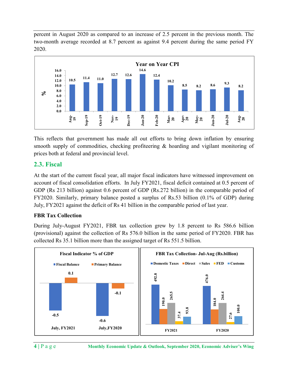percent in August 2020 as compared to an increase of 2.5 percent in the previous month. The two-month average recorded at 8.7 percent as against 9.4 percent during the same period FY 2020.



This reflects that government has made all out efforts to bring down inflation by ensuring smooth supply of commodities, checking profiteering & hoarding and vigilant monitoring of prices both at federal and provincial level.

#### 2.3. Fiscal

At the start of the current fiscal year, all major fiscal indicators have witnessed improvement on account of fiscal consolidation efforts. In July FY2021, fiscal deficit contained at 0.5 percent of GDP (Rs 213 billion) against 0.6 percent of GDP (Rs.272 billion) in the comparable period of FY2020. Similarly, primary balance posted a surplus of Rs.53 billion (0.1% of GDP) during July, FY2021 against the deficit of Rs 41 billion in the comparable period of last year.

#### FBR Tax Collection

During July-August FY2021, FBR tax collection grew by 1.8 percent to Rs 586.6 billion (provisional) against the collection of Rs 576.0 billion in the same period of FY2020. FBR has collected Rs 35.1 billion more than the assigned target of Rs 551.5 billion.

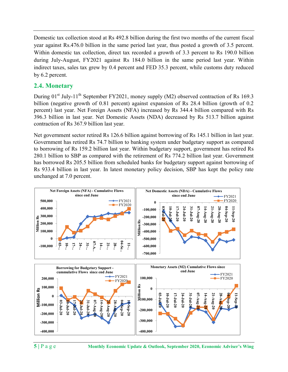Domestic tax collection stood at Rs 492.8 billion during the first two months of the current fiscal year against Rs.476.0 billion in the same period last year, thus posted a growth of 3.5 percent. Within domestic tax collection, direct tax recorded a growth of 3.3 percent to Rs 190.0 billion during July-August, FY2021 against Rs 184.0 billion in the same period last year. Within indirect taxes, sales tax grew by 0.4 percent and FED 35.3 percent, while customs duty reduced by 6.2 percent.

#### 2.4. Monetary

During  $01^{st}$  July-11<sup>th</sup> September FY2021, money supply (M2) observed contraction of Rs 169.3 billion (negative growth of 0.81 percent) against expansion of Rs 28.4 billion (growth of 0.2 percent) last year. Net Foreign Assets (NFA) increased by Rs 344.4 billion compared with Rs 396.3 billion in last year. Net Domestic Assets (NDA) decreased by Rs 513.7 billion against contraction of Rs 367.9 billion last year.

Net government sector retired Rs 126.6 billion against borrowing of Rs 145.1 billion in last year. Government has retired Rs 74.7 billion to banking system under budgetary support as compared to borrowing of Rs 159.2 billion last year. Within budgetary support, government has retired Rs 280.1 billion to SBP as compared with the retirement of Rs 774.2 billion last year. Government has borrowed Rs 205.5 billion from scheduled banks for budgetary support against borrowing of Rs 933.4 billion in last year. In latest monetary policy decision, SBP has kept the policy rate unchanged at 7.0 percent. Net Foreign Asset (NFA) - Cumulative Flows<br>
Net Foreign Asset (NFA) increased by Rs 3444 billion (growth of (nseptive growth of 0.81 percent) against expansion of Rs 28.4 billion (growth of (negative growth of 0.81 percen SEE THE SEE THE SEE THE SEE THE SEE THE SEE THE SEE THE SEE THE SAMPLE THE SAMPLE THE SAMPLE THE SAMPLE THAN AN ON DECREMENT SURFACT SURFACT SURFACT SURFACT SURFACT SURFACT SURFACT SURFACT SURFACT SURFACT SURFACT SURFACT



5 | P a g e Monthly Economic Update & Outlook, September 2020, Economic Adviser's Wing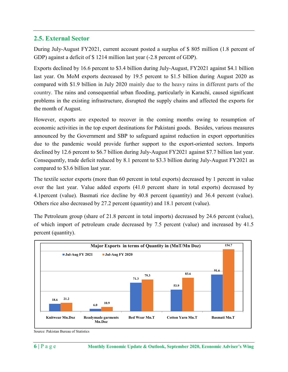#### 2.5. External Sector

During July-August FY2021, current account posted a surplus of \$ 805 million (1.8 percent of GDP) against a deficit of \$ 1214 million last year (-2.8 percent of GDP).

Exports declined by 16.6 percent to \$3.4 billion during July-August, FY2021 against \$4.1 billion last year. On MoM exports decreased by 19.5 percent to \$1.5 billion during August 2020 as compared with \$1.9 billion in July 2020 mainly due to the heavy rains in different parts of the country. The rains and consequential urban flooding, particularly in Karachi, caused significant problems in the existing infrastructure, disrupted the supply chains and affected the exports for the month of August.

However, exports are expected to recover in the coming months owing to resumption of economic activities in the top export destinations for Pakistani goods. Besides, various measures announced by the Government and SBP to safeguard against reduction in export opportunities due to the pandemic would provide further support to the export-oriented sectors. Imports declined by 12.6 percent to \$6.7 billion during July-August FY2021 against \$7.7 billion last year. Consequently, trade deficit reduced by 8.1 percent to \$3.3 billion during July-August FY2021 as compared to \$3.6 billion last year.

The textile sector exports (more than 60 percent in total exports) decreased by 1 percent in value over the last year. Value added exports (41.0 percent share in total exports) decreased by 4.1percent (value). Basmati rice decline by 40.8 percent (quantity) and 36.4 percent (value). Others rice also decreased by 27.2 percent (quantity) and 18.1 percent (value).

The Petroleum group (share of 21.8 percent in total imports) decreased by 24.6 percent (value), of which import of petroleum crude decreased by 7.5 percent (value) and increased by 41.5 percent (quantity).



Source: Pakistan Bureau of Statistics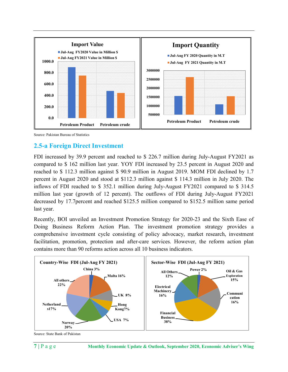

Source: Pakistan Bureau of Statistics

#### 2.5-a Foreign Direct Investment

FDI increased by 39.9 percent and reached to \$ 226.7 million during July-August FY2021 as compared to \$ 162 million last year. YOY FDI increased by 23.5 percent in August 2020 and reached to \$ 112.3 million against \$ 90.9 million in August 2019. MOM FDI declined by 1.7 percent in August 2020 and stood at \$112.3 million against \$ 114.3 million in July 2020. The inflows of FDI reached to \$ 352.1 million during July-August FY2021 compared to \$ 314.5 million last year (growth of 12 percent). The outflows of FDI during July-August FY2021 decreased by 17.7percent and reached \$125.5 million compared to \$152.5 million same period last year.

Recently, BOI unveiled an Investment Promotion Strategy for 2020-23 and the Sixth Ease of Doing Business Reform Action Plan. The investment promotion strategy provides a comprehensive investment cycle consisting of policy advocacy, market research, investment facilitation, promotion, protection and after-care services. However, the reform action plan contains more than 90 reforms action across all 10 business indicators.



Source: State Bank of Pakistan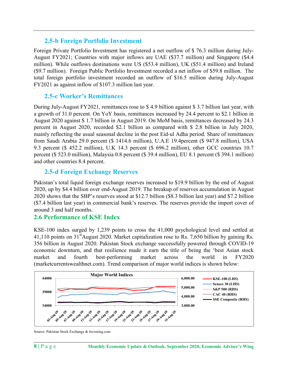#### 2.5-b Foreign Portfolio Investment

Foreign Private Portfolio Investment has registered a net outflow of \$ 76.3 million during July-August FY2021; Countries with major inflows are UAE (\$37.7 million) and Singapore (\$4.4 million). While outflows destinations were US (\$53.4 million), UK (\$51.4 million) and Ireland (\$9.7 million). Foreign Public Portfolio Investment recorded a net inflow of \$59.8 million. The total foreign portfolio investment recorded an outflow of \$16.5 million during July-August FY2021 as against inflow of \$107.3 million last year.

#### 2.5-c Worker's Remittances

 $\blacksquare$ 

During July-August FY2021, remittances rose to \$ 4.9 billion against \$ 3.7 billion last year, with a growth of 31.0 percent. On YoY basis, remittances increased by 24.4 percent to \$2.1 billion in August 2020 against \$ 1.7 billion in August 2019. On MoM basis, remittances decreased by 24.3 percent in August 2020, recorded \$2.1 billion as compared with \$ 2.8 billion in July 2020, mainly reflecting the usual seasonal decline in the post Eid-ul Adha period. Share of remittances from Saudi Arabia 29.0 percent (\$ 1414.6 million), U.A.E 19.4percent (\$ 947.8 million), USA 9.3 percent (\$ 452.2 million), U.K 14.3 percent (\$ 696.2 million), other GCC countries 10.7 percent (\$ 523.0 million), Malaysia 0.8 percent (\$ 39.4 million), EU 8.1 percent (\$ 394.1 million) and other countries 8.4 percent.

#### 2.5-d Foreign Exchange Reserves

Pakistan's total liquid foreign exchange reserves increased to \$19.9 billion by the end of August 2020, up by \$4.4 billion over end-August 2019. The breakup of reserves accumulation in August 2020 shows that the SBP's reserves stood at \$12.7 billion (\$8.3 billion last year) and \$7.2 billion (\$7.4 billion last year) in commercial bank's reserves. The reserves provide the import cover of around 3 and half months.

#### 2.6 Performance of KSE Index

KSE-100 index surged by 1,239 points to cross the 41,000 psychological level and settled at 41,110 points on  $31<sup>st</sup>$ August 2020. Market capitalization rose to Rs. 7,650 billion by gaining Rs. 356 billion in August 2020. Pakistan Stock exchange successfully powered through COVID-19 economic downturn, and that resilience made it earn the title of being the 'best Asian stock market and fourth best-performing market across the world in FY2020 (marketcurrentswealthnet.com). Trend comparison of major world indices is shown below:



Source: Pakistan Stock Exchange & Investing.com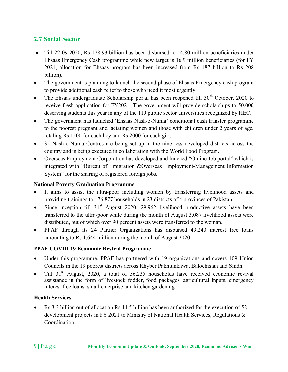#### 2.7 Social Sector

- Till 22-09-2020, Rs 178.93 billion has been disbursed to 14.80 million beneficiaries under Ehsaas Emergency Cash programme while new target is 16.9 million beneficiaries (for FY 2021, allocation for Ehsaas program has been increased from Rs 187 billion to Rs 208 billion).
- The government is planning to launch the second phase of Ehsaas Emergency cash program to provide additional cash relief to those who need it most urgently.
- The Ehsaas undergraduate Scholarship portal has been reopened till  $30<sup>th</sup>$  October, 2020 to receive fresh application for FY2021. The government will provide scholarships to 50,000 deserving students this year in any of the 119 public sector universities recognized by HEC.
- The government has launched 'Ehsaas Nash-o-Numa' conditional cash transfer programme to the poorest pregnant and lactating women and those with children under 2 years of age, totaling Rs 1500 for each boy and Rs 2000 for each girl.
- 35 Nash-o-Numa Centres are being set up in the nine less developed districts across the country and is being executed in collaboration with the World Food Program.
- Overseas Employment Corporation has developed and lunched "Online Job portal" which is integrated with "Bureau of Emigration &Overseas Employment-Management Information System" for the sharing of registered foreign jobs.

#### National Poverty Graduation Programme

- It aims to assist the ultra-poor including women by transferring livelihood assets and providing trainings to 176,877 households in 23 districts of 4 provinces of Pakistan.
- $\bullet$  Since inception till 31<sup>st</sup> August 2020, 29,962 livelihood productive assets have been transferred to the ultra-poor while during the month of August 3,087 livelihood assets were distributed, out of which over 90 percent assets were transferred to the woman.
- PPAF through its 24 Partner Organizations has disbursed 49,240 interest free loans amounting to Rs 1,644 million during the month of August 2020.

#### PPAF COVID-19 Economic Revival Programme

- Under this programme, PPAF has partnered with 19 organizations and covers 109 Union Councils in the 19 poorest districts across Khyber Pakhtunkhwa, Balochistan and Sindh.
- Till  $31<sup>st</sup>$  August, 2020, a total of 56,235 households have received economic revival assistance in the form of livestock fodder, food packages, agricultural inputs, emergency interest free loans, small enterprise and kitchen gardening.

#### Health Services

 Rs 3.3 billion out of allocation Rs 14.5 billion has been authorized for the execution of 52 development projects in FY 2021 to Ministry of National Health Services, Regulations & Coordination.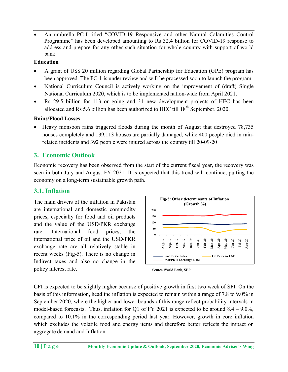An umbrella PC-I titled "COVID-19 Responsive and other Natural Calamities Control Programme" has been developed amounting to Rs 32.4 billion for COVID-19 response to address and prepare for any other such situation for whole country with support of world bank.

#### Education

- A grant of US\$ 20 million regarding Global Partnership for Education (GPE) program has been approved. The PC-1 is under review and will be processed soon to launch the program.
- National Curriculum Council is actively working on the improvement of (draft) Single National Curriculum 2020, which is to be implemented nation-wide from April 2021.
- Rs 29.5 billion for 113 on-going and 31 new development projects of HEC has been allocated and Rs 5.6 billion has been authorized to HEC till  $18<sup>th</sup>$  September, 2020.

#### Rains/Flood Losses

• Heavy monsoon rains triggered floods during the month of August that destroyed 78,735 houses completely and 139,113 houses are partially damaged, while 400 people died in rainrelated incidents and 392 people were injured across the country till 20-09-20

#### 3. Economic Outlook

Economic recovery has been observed from the start of the current fiscal year, the recovery was seen in both July and August FY 2021. It is expected that this trend will continue, putting the economy on a long-term sustainable growth path.

#### 3.1. Inflation

The main drivers of the inflation in Pakistan are international and domestic commodity prices, especially for food and oil products and the value of the USD/PKR exchange rate. International food prices, the international price of oil and the USD/PKR exchange rate are all relatively stable in recent weeks (Fig-5). There is no change in Indirect taxes and also no change in the policy interest rate. Source World Bank, SBP



CPI is expected to be slightly higher because of positive growth in first two week of SPI. On the basis of this information, headline inflation is expected to remain within a range of 7.8 to 9.0% in September 2020, where the higher and lower bounds of this range reflect probability intervals in model-based forecasts. Thus, inflation for Q1 of FY 2021 is expected to be around  $8.4 - 9.0\%$ , compared to 10.1% in the corresponding period last year. However, growth in core inflation which excludes the volatile food and energy items and therefore better reflects the impact on aggregate demand and Inflation.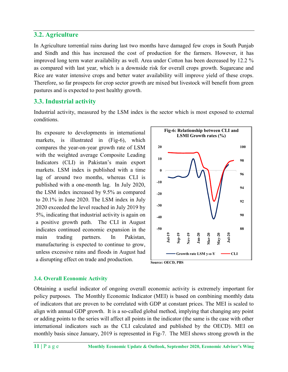#### 3.2. Agriculture

In Agriculture torrential rains during last two months have damaged few crops in South Punjab and Sindh and this has increased the cost of production for the farmers. However, it has improved long term water availability as well. Area under Cotton has been decreased by 12.2 % as compared with last year, which is a downside risk for overall crops growth. Sugarcane and Rice are water intensive crops and better water availability will improve yield of these crops. Therefore, so far prospects for crop sector growth are mixed but livestock will benefit from green pastures and is expected to post healthy growth.

#### 3.3. Industrial activity

Industrial activity, measured by the LSM index is the sector which is most exposed to external conditions.

Its exposure to developments in international markets, is illustrated in (Fig-6), which compares the year-on-year growth rate of LSM with the weighted average Composite Leading Indicators (CLI) in Pakistan's main export markets. LSM index is published with a time lag of around two months, whereas CLI is published with a one-month lag. In July 2020, the LSM index increased by 9.5% as compared to 20.1% in June 2020. The LSM index in July 2020 exceeded the level reached in July 2019 by 5%, indicating that industrial activity is again on a positive growth path. The CLI in August indicates continued economic expansion in the main trading partners. In Pakistan, manufacturing is expected to continue to grow, unless excessive rains and floods in August had a disrupting effect on trade and production.  $\frac{1}{\text{Source: OECD, PBS}}$ 



#### 3.4. Overall Economic Activity

Obtaining a useful indicator of ongoing overall economic activity is extremely important for policy purposes. The Monthly Economic Indicator (MEI) is based on combining monthly data of indicators that are proven to be correlated with GDP at constant prices. The MEI is scaled to align with annual GDP growth. It is a so-called global method, implying that changing any point or adding points to the series will affect all points in the indicator (the same is the case with other international indicators such as the CLI calculated and published by the OECD). MEI on monthly basis since January, 2019 is represented in Fig-7. The MEI shows strong growth in the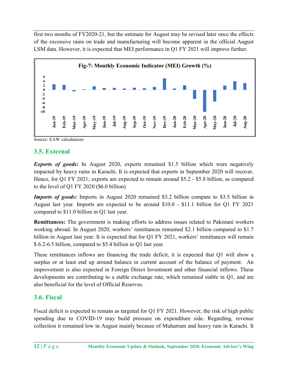first two months of FY2020-21, but the estimate for August may be revised later once the effects of the excessive rains on trade and manufacturing will become apparent in the official August LSM data. However, it is expected that MEI performance in Q1 FY 2021 will improve further.



Source: EAW calculations

#### 3.5. External

**Exports of goods:** In August 2020, exports remained \$1.5 billion which were negatively impacted by heavy rains in Karachi. It is expected that exports in September 2020 will recover. Hence, for Q1 FY 2021; exports are expected to remain around \$5.2 - \$5.8 billion, as compared to the level of Q1 FY 2020 (\$6.0 billion)

Imports of goods: Imports in August 2020 remained \$3.2 billion compare to \$3.5 billion in August last year. Imports are expected to be around \$10.0 - \$11.1 billion for Q1 FY 2021 compared to \$11.0 billion in Q1 last year.

Remittances: The government is making efforts to address issues related to Pakistani workers working abroad. In August 2020, workers' remittances remained \$2.1 billion compared to \$1.7 billion in August last year. It is expected that for Q1 FY 2021, workers' remittances will remain \$ 6.2-6.5 billion, compared to \$5.4 billion in Q1 last year.

These remittances inflows are financing the trade deficit, it is expected that Q1 will show a surplus or at least end up around balance in current account of the balance of payment. An improvement is also expected in Foreign Direct Investment and other financial inflows. These developments are contributing to a stable exchange rate, which remained stable in Q1, and are also beneficial for the level of Official Reserves.

#### 3.6. Fiscal

Fiscal deficit is expected to remain as targeted for Q1 FY 2021. However, the risk of high public spending due to COVID-19 may build pressure on expenditure side. Regarding, revenue collection it remained low in August mainly because of Muharram and heavy rain in Karachi. It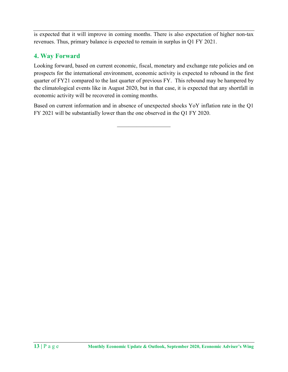is expected that it will improve in coming months. There is also expectation of higher non-tax revenues. Thus, primary balance is expected to remain in surplus in Q1 FY 2021.

#### 4. Way Forward

Looking forward, based on current economic, fiscal, monetary and exchange rate policies and on prospects for the international environment, economic activity is expected to rebound in the first quarter of FY21 compared to the last quarter of previous FY. This rebound may be hampered by the climatological events like in August 2020, but in that case, it is expected that any shortfall in economic activity will be recovered in coming months.

Based on current information and in absence of unexpected shocks YoY inflation rate in the Q1 FY 2021 will be substantially lower than the one observed in the Q1 FY 2020.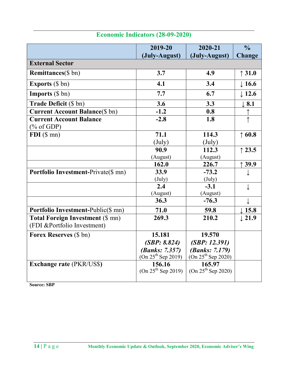|                                                                                                 | 2019-20                        | 2020-21                        | $\frac{0}{0}$     |
|-------------------------------------------------------------------------------------------------|--------------------------------|--------------------------------|-------------------|
|                                                                                                 | (July-August)                  | (July-August)                  | Change            |
| <b>External Sector</b>                                                                          |                                |                                |                   |
| <b>Remittances</b> (\$ bn)                                                                      | 3.7                            | 4.9                            | $\uparrow$ 31.0   |
| <b>Exports</b> (\$ bn)                                                                          | 4.1                            | 3.4                            | $\downarrow$ 16.6 |
| <b>Imports</b> $(\$ bn)$                                                                        | 7.7                            | 6.7                            | $\downarrow$ 12.6 |
| Trade Deficit (\$ bn)                                                                           | 3.6                            | 3.3                            | $\perp$ 8.1       |
| <b>Current Account Balance</b> (\$ bn)                                                          | $-1.2$                         | 0.8                            |                   |
| <b>Current Account Balance</b><br>$(% \mathcal{O}(\mathcal{O}_{0})\rightarrow \mathcal{O}_{0})$ | $-2.8$                         | 1.8                            | $\uparrow$        |
| $FDI$ (\$ mn)                                                                                   | 71.1                           | 114.3                          | $\uparrow$ 60.8   |
|                                                                                                 | $(\mathrm{July})$              | $(\mathrm{July})$              |                   |
|                                                                                                 | 90.9                           | 112.3                          | $\uparrow$ 23.5   |
|                                                                                                 | (August)                       | (August)                       |                   |
|                                                                                                 | 162.0                          | 226.7                          | 39.9              |
| <b>Portfolio Investment-Private (\$ mn)</b>                                                     | 33.9                           | $-73.2$                        | ↓                 |
|                                                                                                 | (July)                         | $(\text{July})$                |                   |
|                                                                                                 | 2.4                            | $-3.1$                         | ↓                 |
|                                                                                                 | (August)                       | (August)                       |                   |
|                                                                                                 | 36.3                           | $-76.3$                        | ↓                 |
| Portfolio Investment-Public(\$ mn)                                                              | 71.0                           | 59.8                           | $\downarrow$ 15.8 |
| <b>Total Foreign Investment (\$ mn)</b>                                                         | 269.3                          | 210.2                          | $\perp$ 21.9      |
| (FDI & Portfolio Investment)                                                                    |                                |                                |                   |
| Forex Reserves (\$ bn)                                                                          | 15.181                         | 19.570                         |                   |
|                                                                                                 | (SBP: 8.824)                   | (SBP: 12.391)                  |                   |
|                                                                                                 | <i>(Banks: 7.357)</i>          | <i>(Banks: 7.179)</i>          |                   |
|                                                                                                 | $(On 25th$ Sep 2019)           | $(On 25th$ Sep 2020)           |                   |
| <b>Exchange rate (PKR/US\$)</b>                                                                 | 156.16<br>$(On 25th$ Sep 2019) | 165.97<br>$(On 25th$ Sep 2020) |                   |
| <b>Source: SBP</b>                                                                              |                                |                                |                   |

### Economic Indicators (28-09-2020)